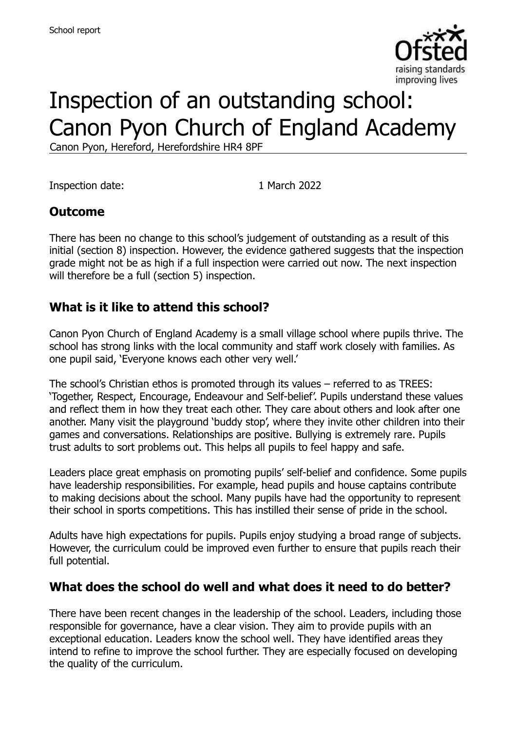

# Inspection of an outstanding school: Canon Pyon Church of England Academy

Canon Pyon, Hereford, Herefordshire HR4 8PF

Inspection date: 1 March 2022

## **Outcome**

There has been no change to this school's judgement of outstanding as a result of this initial (section 8) inspection. However, the evidence gathered suggests that the inspection grade might not be as high if a full inspection were carried out now. The next inspection will therefore be a full (section 5) inspection.

## **What is it like to attend this school?**

Canon Pyon Church of England Academy is a small village school where pupils thrive. The school has strong links with the local community and staff work closely with families. As one pupil said, 'Everyone knows each other very well.'

The school's Christian ethos is promoted through its values – referred to as TREES: 'Together, Respect, Encourage, Endeavour and Self-belief'. Pupils understand these values and reflect them in how they treat each other. They care about others and look after one another. Many visit the playground 'buddy stop', where they invite other children into their games and conversations. Relationships are positive. Bullying is extremely rare. Pupils trust adults to sort problems out. This helps all pupils to feel happy and safe.

Leaders place great emphasis on promoting pupils' self-belief and confidence. Some pupils have leadership responsibilities. For example, head pupils and house captains contribute to making decisions about the school. Many pupils have had the opportunity to represent their school in sports competitions. This has instilled their sense of pride in the school.

Adults have high expectations for pupils. Pupils enjoy studying a broad range of subjects. However, the curriculum could be improved even further to ensure that pupils reach their full potential.

## **What does the school do well and what does it need to do better?**

There have been recent changes in the leadership of the school. Leaders, including those responsible for governance, have a clear vision. They aim to provide pupils with an exceptional education. Leaders know the school well. They have identified areas they intend to refine to improve the school further. They are especially focused on developing the quality of the curriculum.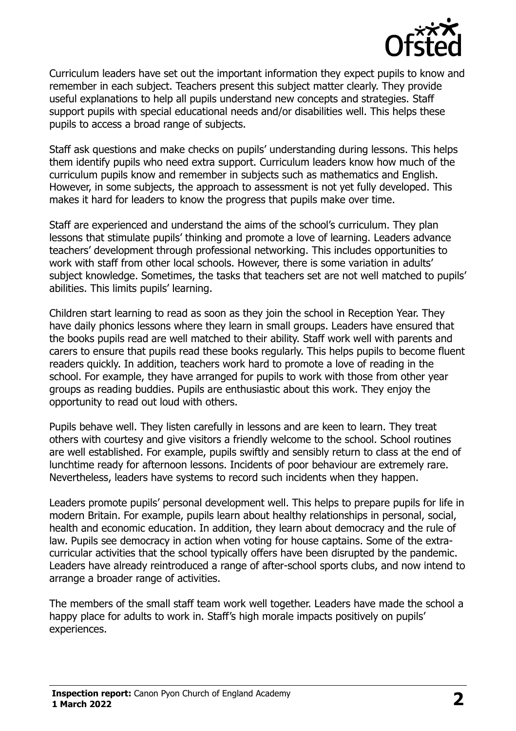

Curriculum leaders have set out the important information they expect pupils to know and remember in each subject. Teachers present this subject matter clearly. They provide useful explanations to help all pupils understand new concepts and strategies. Staff support pupils with special educational needs and/or disabilities well. This helps these pupils to access a broad range of subjects.

Staff ask questions and make checks on pupils' understanding during lessons. This helps them identify pupils who need extra support. Curriculum leaders know how much of the curriculum pupils know and remember in subjects such as mathematics and English. However, in some subjects, the approach to assessment is not yet fully developed. This makes it hard for leaders to know the progress that pupils make over time.

Staff are experienced and understand the aims of the school's curriculum. They plan lessons that stimulate pupils' thinking and promote a love of learning. Leaders advance teachers' development through professional networking. This includes opportunities to work with staff from other local schools. However, there is some variation in adults' subject knowledge. Sometimes, the tasks that teachers set are not well matched to pupils' abilities. This limits pupils' learning.

Children start learning to read as soon as they join the school in Reception Year. They have daily phonics lessons where they learn in small groups. Leaders have ensured that the books pupils read are well matched to their ability. Staff work well with parents and carers to ensure that pupils read these books regularly. This helps pupils to become fluent readers quickly. In addition, teachers work hard to promote a love of reading in the school. For example, they have arranged for pupils to work with those from other year groups as reading buddies. Pupils are enthusiastic about this work. They enjoy the opportunity to read out loud with others.

Pupils behave well. They listen carefully in lessons and are keen to learn. They treat others with courtesy and give visitors a friendly welcome to the school. School routines are well established. For example, pupils swiftly and sensibly return to class at the end of lunchtime ready for afternoon lessons. Incidents of poor behaviour are extremely rare. Nevertheless, leaders have systems to record such incidents when they happen.

Leaders promote pupils' personal development well. This helps to prepare pupils for life in modern Britain. For example, pupils learn about healthy relationships in personal, social, health and economic education. In addition, they learn about democracy and the rule of law. Pupils see democracy in action when voting for house captains. Some of the extracurricular activities that the school typically offers have been disrupted by the pandemic. Leaders have already reintroduced a range of after-school sports clubs, and now intend to arrange a broader range of activities.

The members of the small staff team work well together. Leaders have made the school a happy place for adults to work in. Staff's high morale impacts positively on pupils' experiences.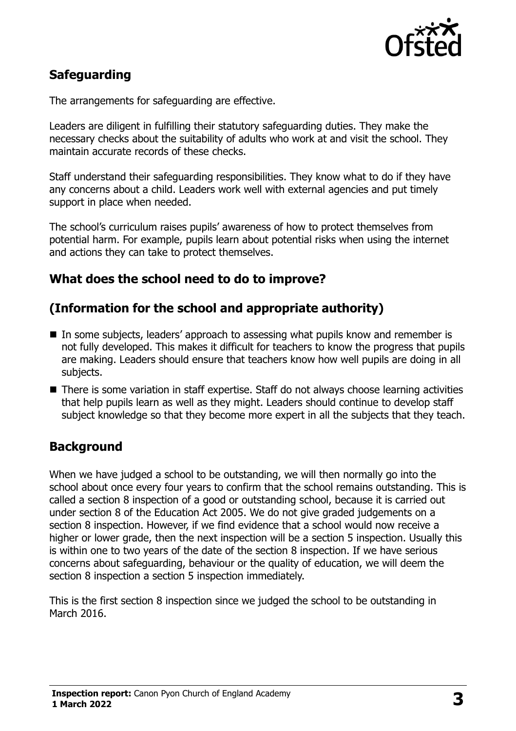

## **Safeguarding**

The arrangements for safeguarding are effective.

Leaders are diligent in fulfilling their statutory safeguarding duties. They make the necessary checks about the suitability of adults who work at and visit the school. They maintain accurate records of these checks.

Staff understand their safeguarding responsibilities. They know what to do if they have any concerns about a child. Leaders work well with external agencies and put timely support in place when needed.

The school's curriculum raises pupils' awareness of how to protect themselves from potential harm. For example, pupils learn about potential risks when using the internet and actions they can take to protect themselves.

## **What does the school need to do to improve?**

## **(Information for the school and appropriate authority)**

- In some subjects, leaders' approach to assessing what pupils know and remember is not fully developed. This makes it difficult for teachers to know the progress that pupils are making. Leaders should ensure that teachers know how well pupils are doing in all subjects.
- There is some variation in staff expertise. Staff do not always choose learning activities that help pupils learn as well as they might. Leaders should continue to develop staff subject knowledge so that they become more expert in all the subjects that they teach.

## **Background**

When we have judged a school to be outstanding, we will then normally go into the school about once every four years to confirm that the school remains outstanding. This is called a section 8 inspection of a good or outstanding school, because it is carried out under section 8 of the Education Act 2005. We do not give graded judgements on a section 8 inspection. However, if we find evidence that a school would now receive a higher or lower grade, then the next inspection will be a section 5 inspection. Usually this is within one to two years of the date of the section 8 inspection. If we have serious concerns about safeguarding, behaviour or the quality of education, we will deem the section 8 inspection a section 5 inspection immediately.

This is the first section 8 inspection since we judged the school to be outstanding in March 2016.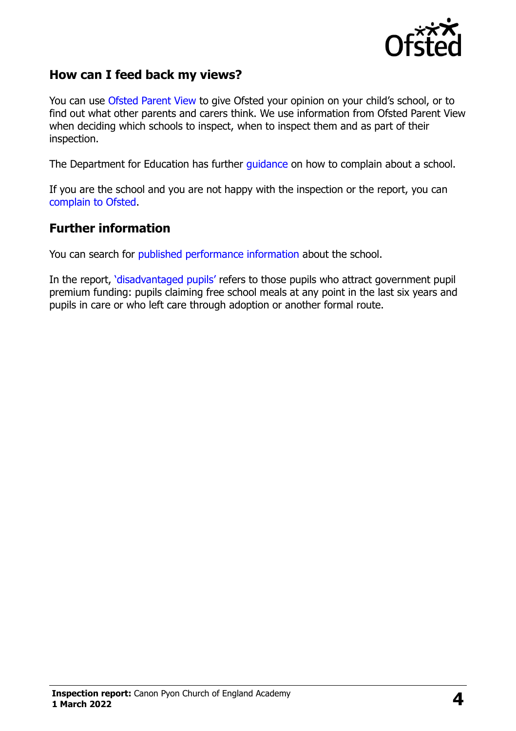

## **How can I feed back my views?**

You can use [Ofsted Parent View](https://parentview.ofsted.gov.uk/) to give Ofsted your opinion on your child's school, or to find out what other parents and carers think. We use information from Ofsted Parent View when deciding which schools to inspect, when to inspect them and as part of their inspection.

The Department for Education has further [guidance](http://www.gov.uk/complain-about-school) on how to complain about a school.

If you are the school and you are not happy with the inspection or the report, you can [complain to Ofsted.](https://www.gov.uk/complain-ofsted-report)

#### **Further information**

You can search for [published performance information](http://www.compare-school-performance.service.gov.uk/) about the school.

In the report, '[disadvantaged pupils](http://www.gov.uk/guidance/pupil-premium-information-for-schools-and-alternative-provision-settings)' refers to those pupils who attract government pupil premium funding: pupils claiming free school meals at any point in the last six years and pupils in care or who left care through adoption or another formal route.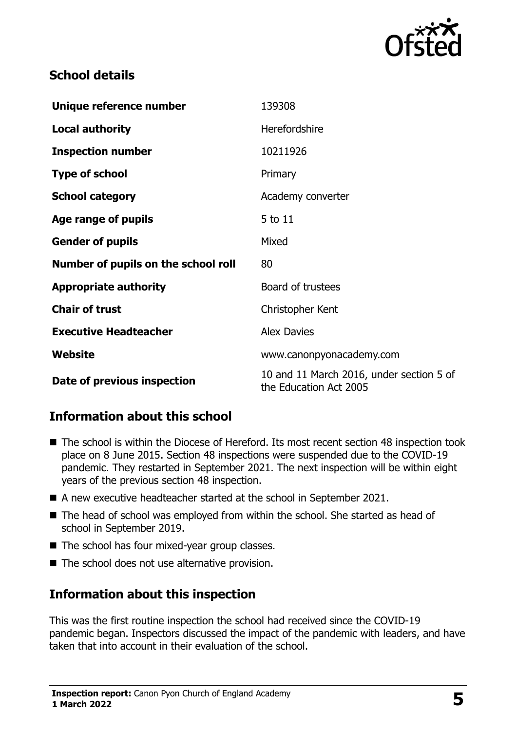

## **School details**

| Unique reference number             | 139308                                                             |
|-------------------------------------|--------------------------------------------------------------------|
| <b>Local authority</b>              | Herefordshire                                                      |
| <b>Inspection number</b>            | 10211926                                                           |
| <b>Type of school</b>               | Primary                                                            |
| <b>School category</b>              | Academy converter                                                  |
| Age range of pupils                 | 5 to 11                                                            |
| <b>Gender of pupils</b>             | Mixed                                                              |
| Number of pupils on the school roll | 80                                                                 |
| <b>Appropriate authority</b>        | Board of trustees                                                  |
| <b>Chair of trust</b>               | Christopher Kent                                                   |
| <b>Executive Headteacher</b>        | <b>Alex Davies</b>                                                 |
| Website                             | www.canonpyonacademy.com                                           |
| Date of previous inspection         | 10 and 11 March 2016, under section 5 of<br>the Education Act 2005 |

## **Information about this school**

- The school is within the Diocese of Hereford. Its most recent section 48 inspection took place on 8 June 2015. Section 48 inspections were suspended due to the COVID-19 pandemic. They restarted in September 2021. The next inspection will be within eight years of the previous section 48 inspection.
- A new executive headteacher started at the school in September 2021.
- The head of school was employed from within the school. She started as head of school in September 2019.
- The school has four mixed-year group classes.
- The school does not use alternative provision.

## **Information about this inspection**

This was the first routine inspection the school had received since the COVID-19 pandemic began. Inspectors discussed the impact of the pandemic with leaders, and have taken that into account in their evaluation of the school.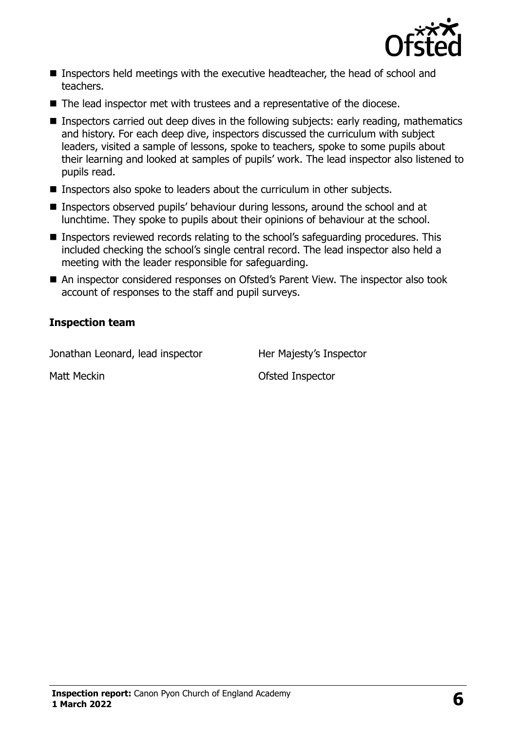

- Inspectors held meetings with the executive headteacher, the head of school and teachers.
- The lead inspector met with trustees and a representative of the diocese.
- Inspectors carried out deep dives in the following subjects: early reading, mathematics and history. For each deep dive, inspectors discussed the curriculum with subject leaders, visited a sample of lessons, spoke to teachers, spoke to some pupils about their learning and looked at samples of pupils' work. The lead inspector also listened to pupils read.
- Inspectors also spoke to leaders about the curriculum in other subjects.
- Inspectors observed pupils' behaviour during lessons, around the school and at lunchtime. They spoke to pupils about their opinions of behaviour at the school.
- Inspectors reviewed records relating to the school's safeguarding procedures. This included checking the school's single central record. The lead inspector also held a meeting with the leader responsible for safeguarding.
- An inspector considered responses on Ofsted's Parent View. The inspector also took account of responses to the staff and pupil surveys.

#### **Inspection team**

Jonathan Leonard, lead inspector Her Majesty's Inspector

Matt Meckin **Matt Meckin** Matt Meckin **Matt Meckin Constant Constant Ofsted Inspector**